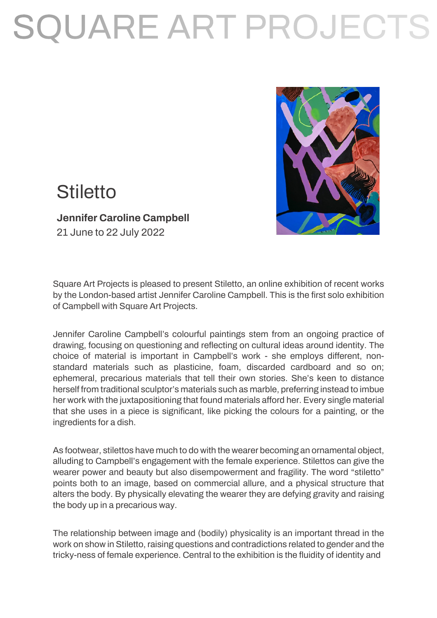# SQUARE ART PROJECTS



### **Stiletto**

### **Jennifer Caroline Campbell**

21 June to 22 July 2022

Square Art Projects is pleased to present Stiletto, an online exhibition of recent works by the London-based artist Jennifer Caroline Campbell. This is the first solo exhibition of Campbell with Square Art Projects.

Jennifer Caroline Campbell's colourful paintings stem from an ongoing practice of drawing, focusing on questioning and reflecting on cultural ideas around identity. The choice of material is important in Campbell's work - she employs different, nonstandard materials such as plasticine, foam, discarded cardboard and so on; ephemeral, precarious materials that tell their own stories. She's keen to distance herself from traditional sculptor's materials such as marble, preferring instead to imbue her work with the juxtapositioning that found materials afford her. Every single material that she uses in a piece is significant, like picking the colours for a painting, or the ingredients for a dish.

As footwear, stilettos have much to do with the wearer becoming an ornamental object, alluding to Campbell's engagement with the female experience. Stilettos can give the wearer power and beauty but also disempowerment and fragility. The word "stiletto" points both to an image, based on commercial allure, and a physical structure that alters the body. By physically elevating the wearer they are defying gravity and raising the body up in a precarious way.

The relationship between image and (bodily) physicality is an important thread in the work on show in Stiletto, raising questions and contradictions related to gender and the tricky-ness of female experience. Central to the exhibition is the fluidity of identity and